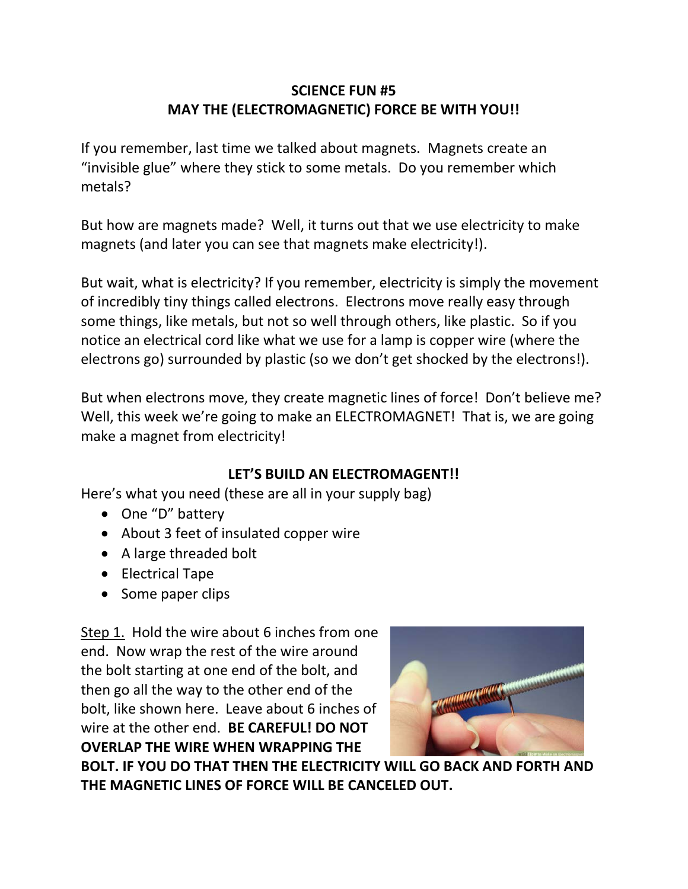## **SCIENCE FUN #5 MAY THE (ELECTROMAGNETIC) FORCE BE WITH YOU!!**

If you remember, last time we talked about magnets. Magnets create an "invisible glue" where they stick to some metals. Do you remember which metals?

But how are magnets made? Well, it turns out that we use electricity to make magnets (and later you can see that magnets make electricity!).

But wait, what is electricity? If you remember, electricity is simply the movement of incredibly tiny things called electrons. Electrons move really easy through some things, like metals, but not so well through others, like plastic. So if you notice an electrical cord like what we use for a lamp is copper wire (where the electrons go) surrounded by plastic (so we don't get shocked by the electrons!).

But when electrons move, they create magnetic lines of force! Don't believe me? Well, this week we're going to make an ELECTROMAGNET! That is, we are going make a magnet from electricity!

## **LET'S BUILD AN ELECTROMAGENT!!**

Here's what you need (these are all in your supply bag)

- One "D" battery
- About 3 feet of insulated copper wire
- A large threaded bolt
- Electrical Tape
- Some paper clips

Step 1. Hold the wire about 6 inches from one end. Now wrap the rest of the wire around the bolt starting at one end of the bolt, and then go all the way to the other end of the bolt, like shown here. Leave about 6 inches of wire at the other end. **BE CAREFUL! DO NOT OVERLAP THE WIRE WHEN WRAPPING THE** 



**BOLT. IF YOU DO THAT THEN THE ELECTRICITY WILL GO BACK AND FORTH AND THE MAGNETIC LINES OF FORCE WILL BE CANCELED OUT.**